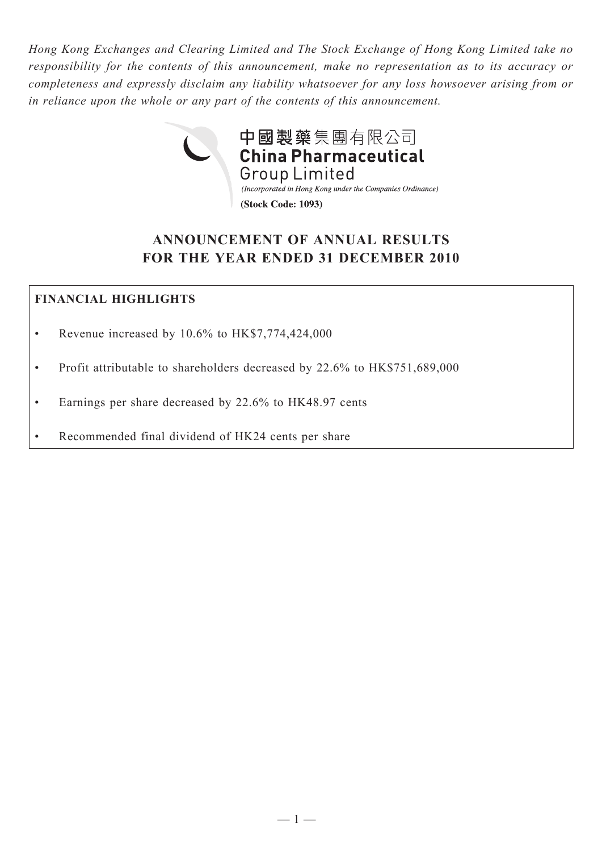*Hong Kong Exchanges and Clearing Limited and The Stock Exchange of Hong Kong Limited take no responsibility for the contents of this announcement, make no representation as to its accuracy or completeness and expressly disclaim any liability whatsoever for any loss howsoever arising from or in reliance upon the whole or any part of the contents of this announcement.*



# **ANNOUNCEMENT OF ANNUAL RESULTS FOR THE YEAR ENDED 31 DECEMBER 2010**

# **FINANCIAL HIGHLIGHTS**

- Revenue increased by 10.6% to HK\$7,774,424,000
- Profit attributable to shareholders decreased by 22.6% to HK\$751,689,000
- • Earnings per share decreased by 22.6% to HK48.97 cents
- Recommended final dividend of HK24 cents per share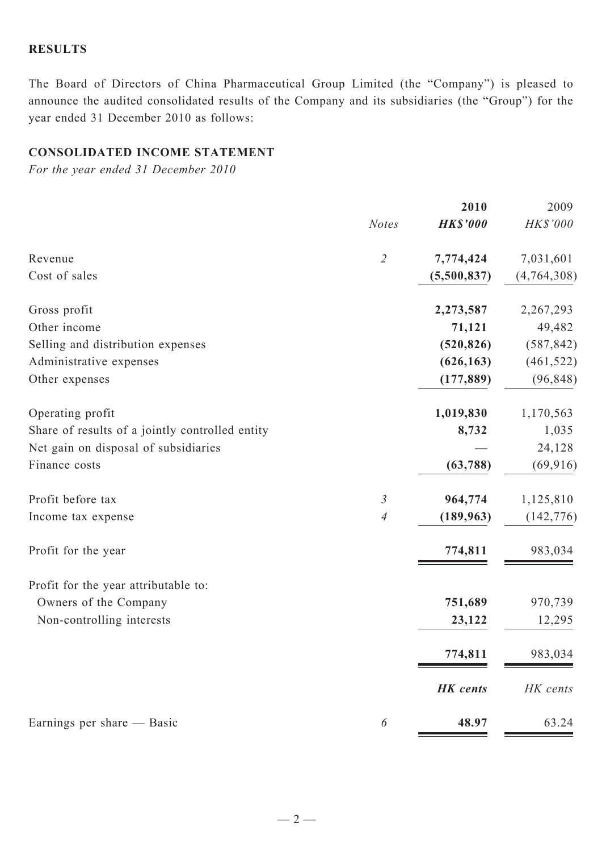### **RESULTS**

The Board of Directors of China Pharmaceutical Group Limited (the "Company") is pleased to announce the audited consolidated results of the Company and its subsidiaries (the "Group") for the year ended 31 December 2010 as follows:

# **CONSOLIDATED INCOME STATEMENT**

*For the year ended 31 December 2010*

|                                                 |                | 2010            | 2009          |
|-------------------------------------------------|----------------|-----------------|---------------|
|                                                 | <b>Notes</b>   | <b>HK\$'000</b> | HK\$'000      |
| Revenue                                         | $\overline{2}$ | 7,774,424       | 7,031,601     |
| Cost of sales                                   |                | (5,500,837)     | (4, 764, 308) |
| Gross profit                                    |                | 2,273,587       | 2,267,293     |
| Other income                                    |                | 71,121          | 49,482        |
| Selling and distribution expenses               |                | (520, 826)      | (587, 842)    |
| Administrative expenses                         |                | (626, 163)      | (461, 522)    |
| Other expenses                                  |                | (177, 889)      | (96, 848)     |
| Operating profit                                |                | 1,019,830       | 1,170,563     |
| Share of results of a jointly controlled entity |                | 8,732           | 1,035         |
| Net gain on disposal of subsidiaries            |                |                 | 24,128        |
| Finance costs                                   |                | (63, 788)       | (69, 916)     |
| Profit before tax                               | $\mathfrak{Z}$ | 964,774         | 1,125,810     |
| Income tax expense                              | $\overline{A}$ | (189, 963)      | (142, 776)    |
| Profit for the year                             |                | 774,811         | 983,034       |
| Profit for the year attributable to:            |                |                 |               |
| Owners of the Company                           |                | 751,689         | 970,739       |
| Non-controlling interests                       |                | 23,122          | 12,295        |
|                                                 |                | 774,811         | 983,034       |
|                                                 |                | <b>HK</b> cents | HK cents      |
| Earnings per share — Basic                      | 6              | 48.97           | 63.24         |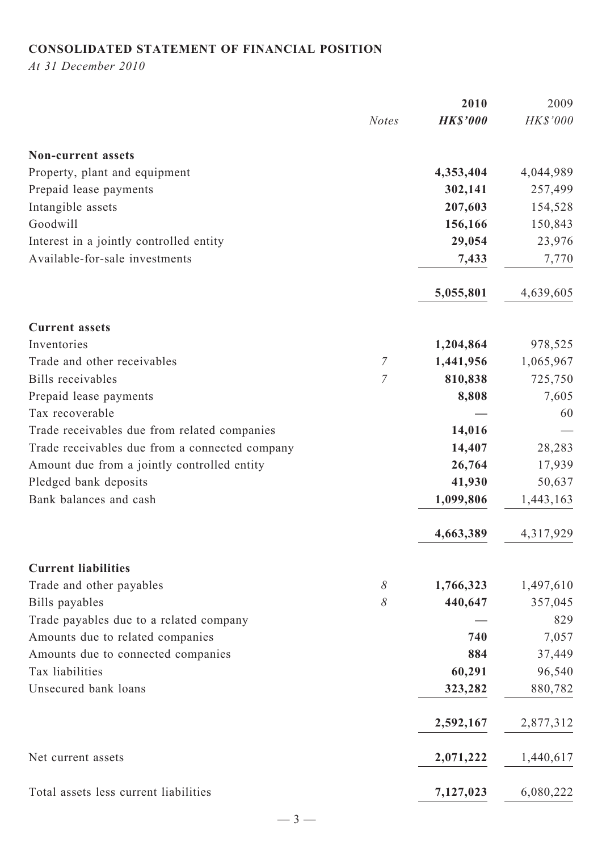# **CONSOLIDATED STATEMENT OF FINANCIAL POSITION**

*At 31 December 2010*

|                                                |                | 2010            | 2009      |
|------------------------------------------------|----------------|-----------------|-----------|
|                                                | <b>Notes</b>   | <b>HK\$'000</b> | HK\$'000  |
| <b>Non-current assets</b>                      |                |                 |           |
| Property, plant and equipment                  |                | 4,353,404       | 4,044,989 |
| Prepaid lease payments                         |                | 302,141         | 257,499   |
| Intangible assets                              |                | 207,603         | 154,528   |
| Goodwill                                       |                | 156,166         | 150,843   |
| Interest in a jointly controlled entity        |                | 29,054          | 23,976    |
| Available-for-sale investments                 |                | 7,433           | 7,770     |
|                                                |                | 5,055,801       | 4,639,605 |
| <b>Current assets</b>                          |                |                 |           |
| Inventories                                    |                | 1,204,864       | 978,525   |
| Trade and other receivables                    | $\overline{7}$ | 1,441,956       | 1,065,967 |
| Bills receivables                              | $\overline{7}$ | 810,838         | 725,750   |
| Prepaid lease payments                         |                | 8,808           | 7,605     |
| Tax recoverable                                |                |                 | 60        |
| Trade receivables due from related companies   |                | 14,016          |           |
| Trade receivables due from a connected company |                | 14,407          | 28,283    |
| Amount due from a jointly controlled entity    |                | 26,764          | 17,939    |
| Pledged bank deposits                          |                | 41,930          | 50,637    |
| Bank balances and cash                         |                | 1,099,806       | 1,443,163 |
|                                                |                | 4,663,389       | 4,317,929 |
| <b>Current liabilities</b>                     |                |                 |           |
| Trade and other payables                       | 8              | 1,766,323       | 1,497,610 |
| Bills payables                                 | $\delta$       | 440,647         | 357,045   |
| Trade payables due to a related company        |                |                 | 829       |
| Amounts due to related companies               |                | 740             | 7,057     |
| Amounts due to connected companies             |                | 884             | 37,449    |
| Tax liabilities                                |                | 60,291          | 96,540    |
| Unsecured bank loans                           |                | 323,282         | 880,782   |
|                                                |                | 2,592,167       | 2,877,312 |
| Net current assets                             |                | 2,071,222       | 1,440,617 |
| Total assets less current liabilities          |                | 7,127,023       | 6,080,222 |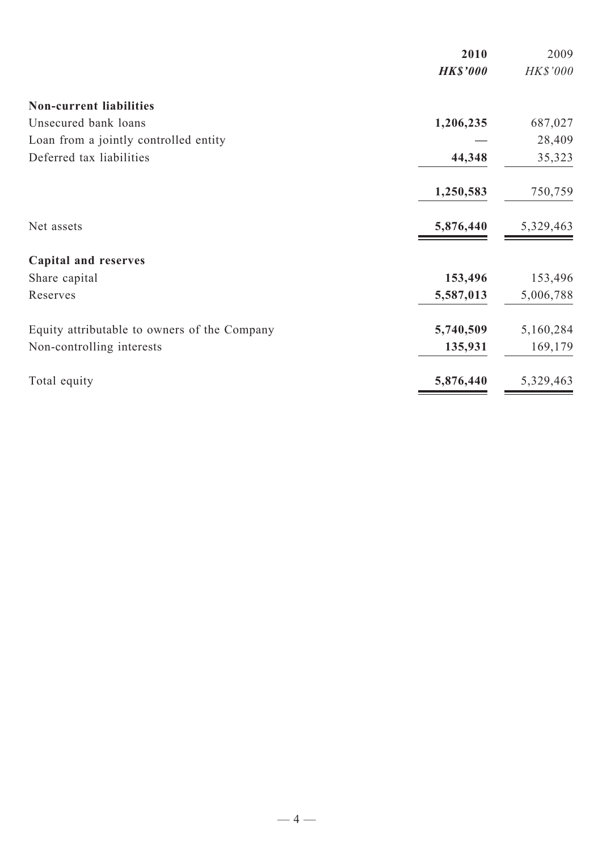|                                              | 2010            | 2009            |
|----------------------------------------------|-----------------|-----------------|
|                                              | <b>HK\$'000</b> | <b>HK\$'000</b> |
| <b>Non-current liabilities</b>               |                 |                 |
| Unsecured bank loans                         | 1,206,235       | 687,027         |
| Loan from a jointly controlled entity        |                 | 28,409          |
| Deferred tax liabilities                     | 44,348          | 35,323          |
|                                              | 1,250,583       | 750,759         |
| Net assets                                   | 5,876,440       | 5,329,463       |
| <b>Capital and reserves</b>                  |                 |                 |
| Share capital                                | 153,496         | 153,496         |
| Reserves                                     | 5,587,013       | 5,006,788       |
| Equity attributable to owners of the Company | 5,740,509       | 5,160,284       |
| Non-controlling interests                    | 135,931         | 169,179         |
| Total equity                                 | 5,876,440       | 5,329,463       |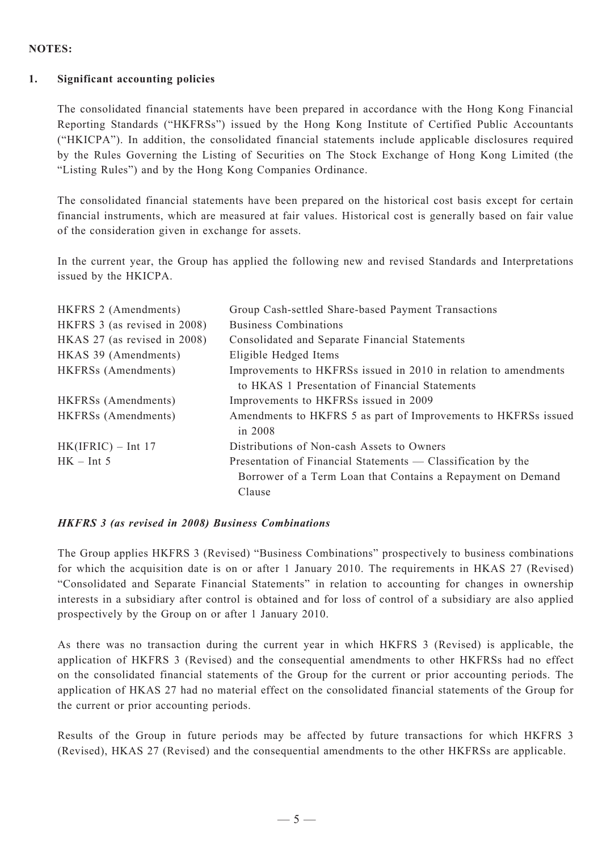#### **NOTES:**

#### **1. Significant accounting policies**

The consolidated financial statements have been prepared in accordance with the Hong Kong Financial Reporting Standards ("HKFRSs") issued by the Hong Kong Institute of Certified Public Accountants ("HKICPA"). In addition, the consolidated financial statements include applicable disclosures required by the Rules Governing the Listing of Securities on The Stock Exchange of Hong Kong Limited (the "Listing Rules") and by the Hong Kong Companies Ordinance.

The consolidated financial statements have been prepared on the historical cost basis except for certain financial instruments, which are measured at fair values. Historical cost is generally based on fair value of the consideration given in exchange for assets.

In the current year, the Group has applied the following new and revised Standards and Interpretations issued by the HKICPA.

| HKFRS 2 (Amendments)         | Group Cash-settled Share-based Payment Transactions                                                               |
|------------------------------|-------------------------------------------------------------------------------------------------------------------|
| HKFRS 3 (as revised in 2008) | <b>Business Combinations</b>                                                                                      |
| HKAS 27 (as revised in 2008) | Consolidated and Separate Financial Statements                                                                    |
| HKAS 39 (Amendments)         | Eligible Hedged Items                                                                                             |
| HKFRSs (Amendments)          | Improvements to HKFRSs issued in 2010 in relation to amendments<br>to HKAS 1 Presentation of Financial Statements |
| <b>HKFRSs</b> (Amendments)   | Improvements to HKFRSs issued in 2009                                                                             |
| HKFRSs (Amendments)          | Amendments to HKFRS 5 as part of Improvements to HKFRSs issued<br>in 2008                                         |
| $HK(IFRIC) - Int 17$         | Distributions of Non-cash Assets to Owners                                                                        |
| $HK - Int 5$                 | Presentation of Financial Statements — Classification by the                                                      |
|                              | Borrower of a Term Loan that Contains a Repayment on Demand                                                       |
|                              | Clause                                                                                                            |

#### *HKFRS 3 (as revised in 2008) Business Combinations*

The Group applies HKFRS 3 (Revised) "Business Combinations" prospectively to business combinations for which the acquisition date is on or after 1 January 2010. The requirements in HKAS 27 (Revised) "Consolidated and Separate Financial Statements" in relation to accounting for changes in ownership interests in a subsidiary after control is obtained and for loss of control of a subsidiary are also applied prospectively by the Group on or after 1 January 2010.

As there was no transaction during the current year in which HKFRS 3 (Revised) is applicable, the application of HKFRS 3 (Revised) and the consequential amendments to other HKFRSs had no effect on the consolidated financial statements of the Group for the current or prior accounting periods. The application of HKAS 27 had no material effect on the consolidated financial statements of the Group for the current or prior accounting periods.

Results of the Group in future periods may be affected by future transactions for which HKFRS 3 (Revised), HKAS 27 (Revised) and the consequential amendments to the other HKFRSs are applicable.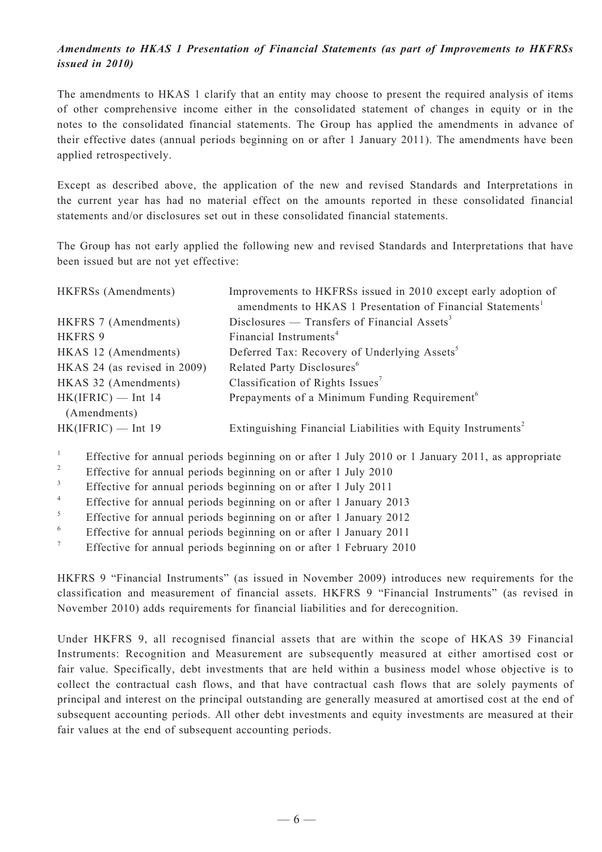### *Amendments to HKAS 1 Presentation of Financial Statements (as part of Improvements to HKFRSs issued in 2010)*

The amendments to HKAS 1 clarify that an entity may choose to present the required analysis of items of other comprehensive income either in the consolidated statement of changes in equity or in the notes to the consolidated financial statements. The Group has applied the amendments in advance of their effective dates (annual periods beginning on or after 1 January 2011). The amendments have been applied retrospectively.

Except as described above, the application of the new and revised Standards and Interpretations in the current year has had no material effect on the amounts reported in these consolidated financial statements and/or disclosures set out in these consolidated financial statements.

The Group has not early applied the following new and revised Standards and Interpretations that have been issued but are not yet effective:

| HKFRSs (Amendments)                  | Improvements to HKFRSs issued in 2010 except early adoption of           |
|--------------------------------------|--------------------------------------------------------------------------|
|                                      | amendments to HKAS 1 Presentation of Financial Statements <sup>1</sup>   |
| HKFRS 7 (Amendments)                 | Disclosures — Transfers of Financial Assets <sup>3</sup>                 |
| <b>HKFRS 9</b>                       | Financial Instruments <sup>4</sup>                                       |
| HKAS 12 (Amendments)                 | Deferred Tax: Recovery of Underlying Assets <sup>5</sup>                 |
| HKAS 24 (as revised in 2009)         | Related Party Disclosures <sup>6</sup>                                   |
| HKAS 32 (Amendments)                 | Classification of Rights Issues <sup>7</sup>                             |
| $HK(IFRIC)$ — Int 14<br>(Amendments) | Prepayments of a Minimum Funding Requirement <sup>6</sup>                |
| $HK(IFRIC)$ — Int 19                 | Extinguishing Financial Liabilities with Equity Instruments <sup>2</sup> |

1 Effective for annual periods beginning on or after 1 July 2010 or 1 January 2011, as appropriate

- 2 Effective for annual periods beginning on or after 1 July 2010
- 3 Effective for annual periods beginning on or after 1 July 2011
- 4 Effective for annual periods beginning on or after 1 January 2013
- 5 Effective for annual periods beginning on or after 1 January 2012
- 6 Effective for annual periods beginning on or after 1 January 2011
- 7 Effective for annual periods beginning on or after 1 February 2010

HKFRS 9 "Financial Instruments" (as issued in November 2009) introduces new requirements for the classification and measurement of financial assets. HKFRS 9 "Financial Instruments" (as revised in November 2010) adds requirements for financial liabilities and for derecognition.

Under HKFRS 9, all recognised financial assets that are within the scope of HKAS 39 Financial Instruments: Recognition and Measurement are subsequently measured at either amortised cost or fair value. Specifically, debt investments that are held within a business model whose objective is to collect the contractual cash flows, and that have contractual cash flows that are solely payments of principal and interest on the principal outstanding are generally measured at amortised cost at the end of subsequent accounting periods. All other debt investments and equity investments are measured at their fair values at the end of subsequent accounting periods.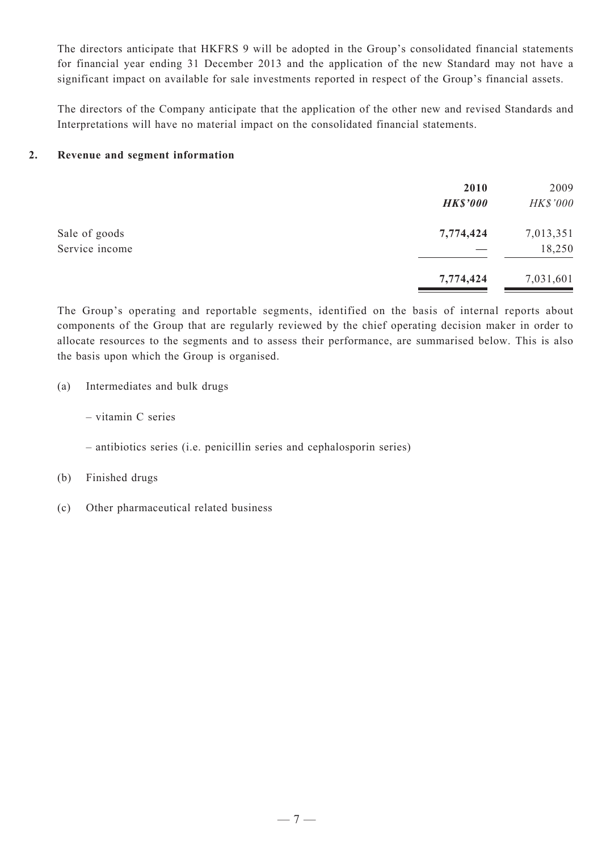The directors anticipate that HKFRS 9 will be adopted in the Group's consolidated financial statements for financial year ending 31 December 2013 and the application of the new Standard may not have a significant impact on available for sale investments reported in respect of the Group's financial assets.

The directors of the Company anticipate that the application of the other new and revised Standards and Interpretations will have no material impact on the consolidated financial statements.

#### **2. Revenue and segment information**

|                                 | 2010<br><b>HK\$'000</b> | 2009<br>HK\$'000    |
|---------------------------------|-------------------------|---------------------|
| Sale of goods<br>Service income | 7,774,424               | 7,013,351<br>18,250 |
|                                 | 7,774,424               | 7,031,601           |

The Group's operating and reportable segments, identified on the basis of internal reports about components of the Group that are regularly reviewed by the chief operating decision maker in order to allocate resources to the segments and to assess their performance, are summarised below. This is also the basis upon which the Group is organised.

- (a) Intermediates and bulk drugs
	- vitamin C series
	- antibiotics series (i.e. penicillin series and cephalosporin series)
- (b) Finished drugs
- (c) Other pharmaceutical related business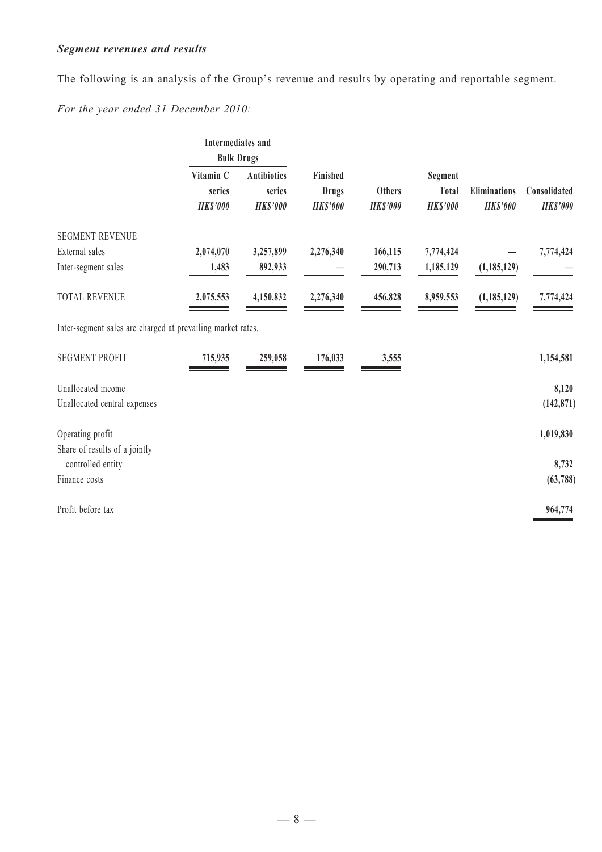# *Segment revenues and results*

The following is an analysis of the Group's revenue and results by operating and reportable segment.

*For the year ended 31 December 2010:*

|                                                             | Intermediates and<br><b>Bulk Drugs</b> |                                                 |                                                    |                                  |                                     |                                        |                                 |
|-------------------------------------------------------------|----------------------------------------|-------------------------------------------------|----------------------------------------------------|----------------------------------|-------------------------------------|----------------------------------------|---------------------------------|
|                                                             | Vitamin C<br>series<br><b>HK\$'000</b> | <b>Antibiotics</b><br>series<br><b>HK\$'000</b> | <b>Finished</b><br><b>Drugs</b><br><b>HK\$'000</b> | <b>Others</b><br><b>HK\$'000</b> | Segment<br>Total<br><b>HK\$'000</b> | <b>Eliminations</b><br><b>HK\$'000</b> | Consolidated<br><b>HK\$'000</b> |
| <b>SEGMENT REVENUE</b>                                      |                                        |                                                 |                                                    |                                  |                                     |                                        |                                 |
| External sales                                              | 2,074,070                              | 3,257,899                                       | 2,276,340                                          | 166,115                          | 7,774,424                           |                                        | 7,774,424                       |
| Inter-segment sales                                         | 1,483                                  | 892,933                                         |                                                    | 290,713                          | 1,185,129                           | (1,185,129)                            |                                 |
| <b>TOTAL REVENUE</b>                                        | 2,075,553                              | 4,150,832                                       | 2,276,340                                          | 456,828                          | 8,959,553                           | (1, 185, 129)                          | 7,774,424                       |
| Inter-segment sales are charged at prevailing market rates. |                                        |                                                 |                                                    |                                  |                                     |                                        |                                 |
| <b>SEGMENT PROFIT</b>                                       | 715,935                                | 259,058                                         | 176,033                                            | 3,555                            |                                     |                                        | 1,154,581                       |
| Unallocated income                                          |                                        |                                                 |                                                    |                                  |                                     |                                        | 8,120                           |
| Unallocated central expenses                                |                                        |                                                 |                                                    |                                  |                                     |                                        | (142, 871)                      |
| Operating profit                                            |                                        |                                                 |                                                    |                                  |                                     |                                        | 1,019,830                       |
| Share of results of a jointly<br>controlled entity          |                                        |                                                 |                                                    |                                  |                                     |                                        | 8,732                           |
| Finance costs                                               |                                        |                                                 |                                                    |                                  |                                     |                                        | (63, 788)                       |
| Profit before tax                                           |                                        |                                                 |                                                    |                                  |                                     |                                        | 964,774                         |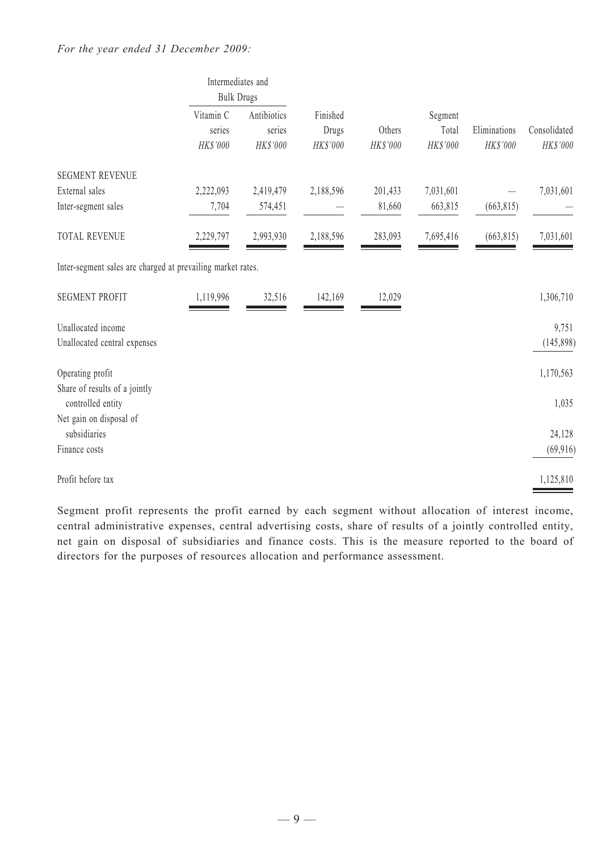|                                                             | Intermediates and<br><b>Bulk Drugs</b> |                                   |                               |                    |                              |                          |                          |
|-------------------------------------------------------------|----------------------------------------|-----------------------------------|-------------------------------|--------------------|------------------------------|--------------------------|--------------------------|
|                                                             | Vitamin C<br>series<br>HK\$'000        | Antibiotics<br>series<br>HK\$'000 | Finished<br>Drugs<br>HK\$'000 | Others<br>HK\$'000 | Segment<br>Total<br>HK\$'000 | Eliminations<br>HK\$'000 | Consolidated<br>HK\$'000 |
| <b>SEGMENT REVENUE</b>                                      |                                        |                                   |                               |                    |                              |                          |                          |
| External sales                                              | 2,222,093                              | 2,419,479                         | 2,188,596                     | 201,433            | 7,031,601                    |                          | 7,031,601                |
| Inter-segment sales                                         | 7,704                                  | 574,451                           |                               | 81,660             | 663,815                      | (663, 815)               |                          |
| <b>TOTAL REVENUE</b>                                        | 2,229,797                              | 2,993,930                         | 2,188,596                     | 283,093            | 7,695,416                    | (663, 815)               | 7,031,601                |
| Inter-segment sales are charged at prevailing market rates. |                                        |                                   |                               |                    |                              |                          |                          |
| <b>SEGMENT PROFIT</b>                                       | 1,119,996                              | 32,516                            | 142,169                       | 12,029             |                              |                          | 1,306,710                |
| Unallocated income                                          |                                        |                                   |                               |                    |                              |                          | 9,751                    |
| Unallocated central expenses                                |                                        |                                   |                               |                    |                              |                          | (145, 898)               |
| Operating profit<br>Share of results of a jointly           |                                        |                                   |                               |                    |                              |                          | 1,170,563                |
| controlled entity                                           |                                        |                                   |                               |                    |                              |                          | 1,035                    |
| Net gain on disposal of<br>subsidiaries                     |                                        |                                   |                               |                    |                              |                          | 24,128                   |
| Finance costs                                               |                                        |                                   |                               |                    |                              |                          | (69, 916)                |
| Profit before tax                                           |                                        |                                   |                               |                    |                              |                          | 1,125,810                |

Segment profit represents the profit earned by each segment without allocation of interest income, central administrative expenses, central advertising costs, share of results of a jointly controlled entity, net gain on disposal of subsidiaries and finance costs. This is the measure reported to the board of directors for the purposes of resources allocation and performance assessment.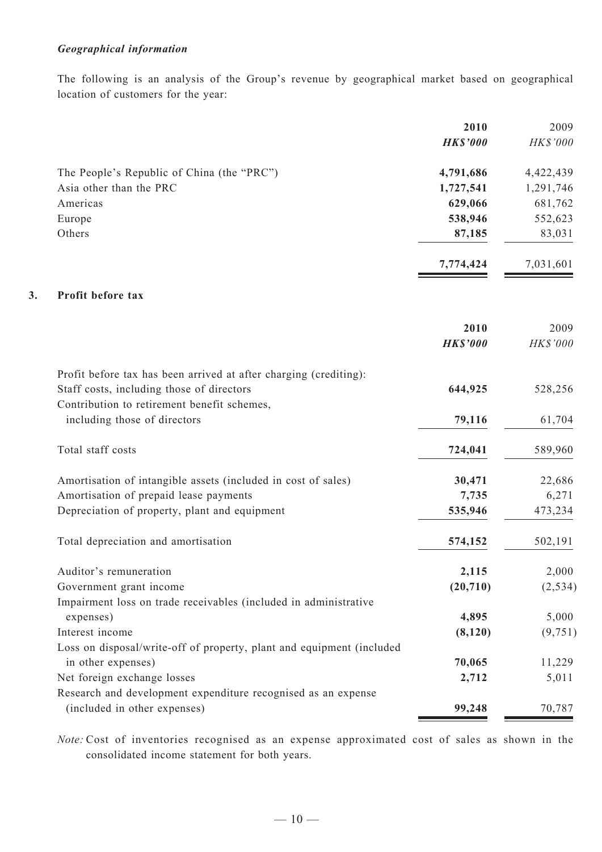### *Geographical information*

The following is an analysis of the Group's revenue by geographical market based on geographical location of customers for the year:

|    |                                                                                              | 2010            | 2009      |
|----|----------------------------------------------------------------------------------------------|-----------------|-----------|
|    |                                                                                              | <b>HK\$'000</b> | HK\$'000  |
|    | The People's Republic of China (the "PRC")                                                   | 4,791,686       | 4,422,439 |
|    | Asia other than the PRC                                                                      | 1,727,541       | 1,291,746 |
|    | Americas                                                                                     | 629,066         | 681,762   |
|    | Europe                                                                                       | 538,946         | 552,623   |
|    | Others                                                                                       | 87,185          | 83,031    |
|    |                                                                                              | 7,774,424       | 7,031,601 |
| 3. | Profit before tax                                                                            |                 |           |
|    |                                                                                              | 2010            | 2009      |
|    |                                                                                              | <b>HK\$'000</b> | HK\$'000  |
|    | Profit before tax has been arrived at after charging (crediting):                            |                 |           |
|    | Staff costs, including those of directors                                                    | 644,925         | 528,256   |
|    | Contribution to retirement benefit schemes,<br>including those of directors                  | 79,116          | 61,704    |
|    | Total staff costs                                                                            | 724,041         | 589,960   |
|    | Amortisation of intangible assets (included in cost of sales)                                | 30,471          | 22,686    |
|    | Amortisation of prepaid lease payments                                                       | 7,735           | 6,271     |
|    | Depreciation of property, plant and equipment                                                | 535,946         | 473,234   |
|    | Total depreciation and amortisation                                                          | 574,152         | 502,191   |
|    | Auditor's remuneration                                                                       | 2,115           | 2,000     |
|    | Government grant income                                                                      | (20, 710)       | (2, 534)  |
|    | Impairment loss on trade receivables (included in administrative                             |                 |           |
|    | expenses)                                                                                    | 4,895           | 5,000     |
|    | Interest income                                                                              | (8,120)         | (9, 751)  |
|    | Loss on disposal/write-off of property, plant and equipment (included                        |                 |           |
|    | in other expenses)                                                                           | 70,065          | 11,229    |
|    | Net foreign exchange losses<br>Research and development expenditure recognised as an expense | 2,712           | 5,011     |
|    | (included in other expenses)                                                                 | 99,248          | 70,787    |
|    |                                                                                              |                 |           |

*Note:* Cost of inventories recognised as an expense approximated cost of sales as shown in the consolidated income statement for both years.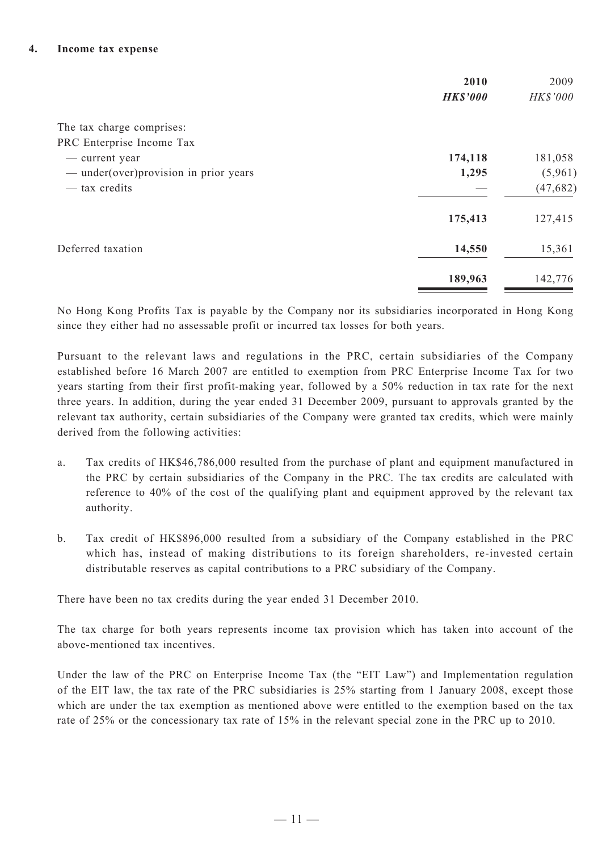|                                        | 2010<br><b>HK\$'000</b> | 2009<br>HK\$'000 |
|----------------------------------------|-------------------------|------------------|
| The tax charge comprises:              |                         |                  |
| PRC Enterprise Income Tax              |                         |                  |
| — current year                         | 174,118                 | 181,058          |
| — under(over) provision in prior years | 1,295                   | (5,961)          |
| — tax credits                          |                         | (47, 682)        |
|                                        | 175,413                 | 127,415          |
| Deferred taxation                      | 14,550                  | 15,361           |
|                                        | 189,963                 | 142,776          |

No Hong Kong Profits Tax is payable by the Company nor its subsidiaries incorporated in Hong Kong since they either had no assessable profit or incurred tax losses for both years.

Pursuant to the relevant laws and regulations in the PRC, certain subsidiaries of the Company established before 16 March 2007 are entitled to exemption from PRC Enterprise Income Tax for two years starting from their first profit-making year, followed by a 50% reduction in tax rate for the next three years. In addition, during the year ended 31 December 2009, pursuant to approvals granted by the relevant tax authority, certain subsidiaries of the Company were granted tax credits, which were mainly derived from the following activities:

- a. Tax credits of HK\$46,786,000 resulted from the purchase of plant and equipment manufactured in the PRC by certain subsidiaries of the Company in the PRC. The tax credits are calculated with reference to 40% of the cost of the qualifying plant and equipment approved by the relevant tax authority.
- b. Tax credit of HK\$896,000 resulted from a subsidiary of the Company established in the PRC which has, instead of making distributions to its foreign shareholders, re-invested certain distributable reserves as capital contributions to a PRC subsidiary of the Company.

There have been no tax credits during the year ended 31 December 2010.

The tax charge for both years represents income tax provision which has taken into account of the above-mentioned tax incentives.

Under the law of the PRC on Enterprise Income Tax (the "EIT Law") and Implementation regulation of the EIT law, the tax rate of the PRC subsidiaries is 25% starting from 1 January 2008, except those which are under the tax exemption as mentioned above were entitled to the exemption based on the tax rate of 25% or the concessionary tax rate of 15% in the relevant special zone in the PRC up to 2010.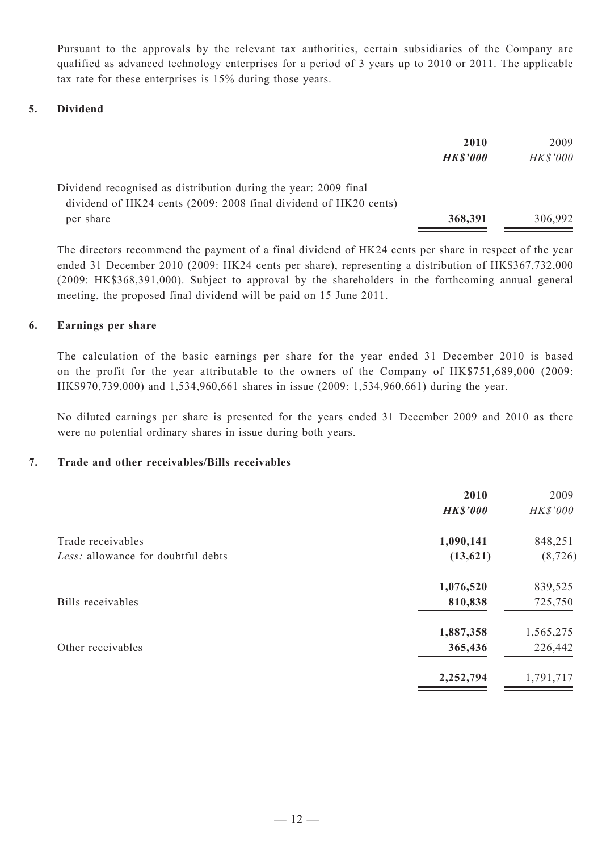Pursuant to the approvals by the relevant tax authorities, certain subsidiaries of the Company are qualified as advanced technology enterprises for a period of 3 years up to 2010 or 2011. The applicable tax rate for these enterprises is 15% during those years.

#### **5. Dividend**

|                                                                  | 2010            | 2009            |
|------------------------------------------------------------------|-----------------|-----------------|
|                                                                  | <b>HK\$'000</b> | <b>HK\$'000</b> |
| Dividend recognised as distribution during the year: 2009 final  |                 |                 |
| dividend of HK24 cents (2009: 2008 final dividend of HK20 cents) |                 |                 |
| per share                                                        | 368,391         | 306,992         |

The directors recommend the payment of a final dividend of HK24 cents per share in respect of the year ended 31 December 2010 (2009: HK24 cents per share), representing a distribution of HK\$367,732,000 (2009: HK\$368,391,000). Subject to approval by the shareholders in the forthcoming annual general meeting, the proposed final dividend will be paid on 15 June 2011.

#### **6. Earnings per share**

The calculation of the basic earnings per share for the year ended 31 December 2010 is based on the profit for the year attributable to the owners of the Company of HK\$751,689,000 (2009: HK\$970,739,000) and 1,534,960,661 shares in issue (2009: 1,534,960,661) during the year.

No diluted earnings per share is presented for the years ended 31 December 2009 and 2010 as there were no potential ordinary shares in issue during both years.

#### **7. Trade and other receivables/Bills receivables**

|                                    | 2010            | 2009      |
|------------------------------------|-----------------|-----------|
|                                    | <b>HK\$'000</b> | HK\$'000  |
| Trade receivables                  | 1,090,141       | 848,251   |
| Less: allowance for doubtful debts | (13, 621)       | (8, 726)  |
|                                    | 1,076,520       | 839,525   |
| Bills receivables                  | 810,838         | 725,750   |
|                                    | 1,887,358       | 1,565,275 |
| Other receivables                  | 365,436         | 226,442   |
|                                    | 2,252,794       | 1,791,717 |
|                                    |                 |           |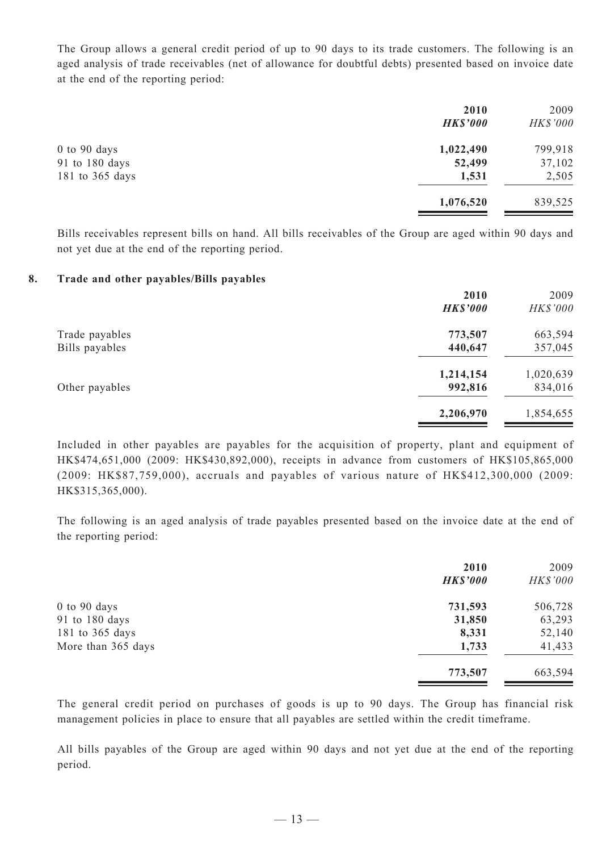The Group allows a general credit period of up to 90 days to its trade customers. The following is an aged analysis of trade receivables (net of allowance for doubtful debts) presented based on invoice date at the end of the reporting period:

|                 | 2010<br><b>HK\$'000</b> | 2009<br>HK\$'000 |
|-----------------|-------------------------|------------------|
| $0$ to 90 days  | 1,022,490               | 799,918          |
| 91 to 180 days  | 52,499                  | 37,102           |
| 181 to 365 days | 1,531                   | 2,505            |
|                 | 1,076,520               | 839,525          |

Bills receivables represent bills on hand. All bills receivables of the Group are aged within 90 days and not yet due at the end of the reporting period.

#### **8. Trade and other payables/Bills payables**

|                | 2010            | 2009            |
|----------------|-----------------|-----------------|
|                | <b>HK\$'000</b> | <b>HK\$'000</b> |
| Trade payables | 773,507         | 663,594         |
| Bills payables | 440,647         | 357,045         |
|                | 1,214,154       | 1,020,639       |
| Other payables | 992,816         | 834,016         |
|                | 2,206,970       | 1,854,655       |
|                |                 |                 |

Included in other payables are payables for the acquisition of property, plant and equipment of HK\$474,651,000 (2009: HK\$430,892,000), receipts in advance from customers of HK\$105,865,000 (2009: HK\$87,759,000), accruals and payables of various nature of HK\$412,300,000 (2009: HK\$315,365,000).

The following is an aged analysis of trade payables presented based on the invoice date at the end of the reporting period:

|                    | 2010<br><b>HK\$'000</b> | 2009<br><b>HK\$'000</b> |
|--------------------|-------------------------|-------------------------|
| $0$ to $90$ days   | 731,593                 | 506,728                 |
| 91 to 180 days     | 31,850                  | 63,293                  |
| 181 to 365 days    | 8,331                   | 52,140                  |
| More than 365 days | 1,733                   | 41,433                  |
|                    | 773,507                 | 663,594                 |

The general credit period on purchases of goods is up to 90 days. The Group has financial risk management policies in place to ensure that all payables are settled within the credit timeframe.

All bills payables of the Group are aged within 90 days and not yet due at the end of the reporting period.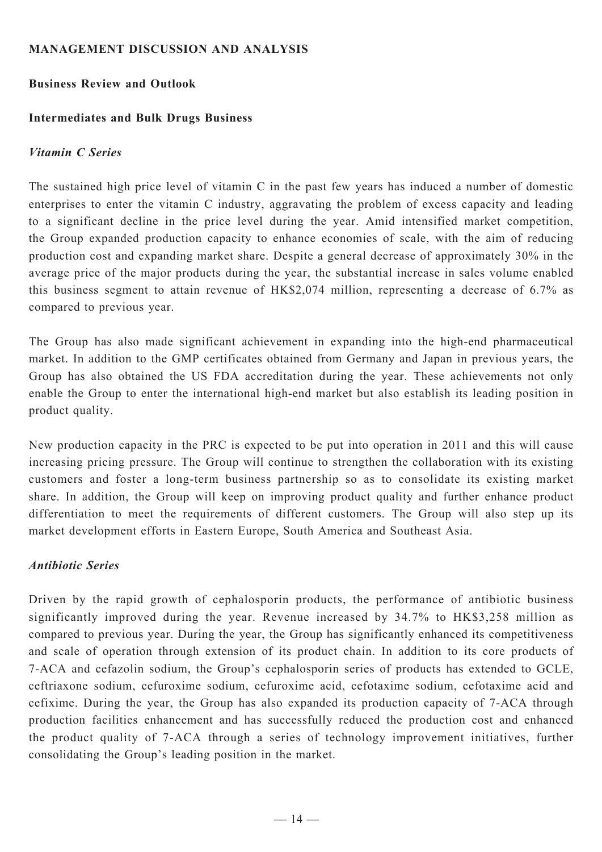### **MANAGEMENT DISCUSSION AND ANALYSIS**

### **Business Review and Outlook**

### **Intermediates and Bulk Drugs Business**

### *Vitamin C Series*

The sustained high price level of vitamin C in the past few years has induced a number of domestic enterprises to enter the vitamin C industry, aggravating the problem of excess capacity and leading to a significant decline in the price level during the year. Amid intensified market competition, the Group expanded production capacity to enhance economies of scale, with the aim of reducing production cost and expanding market share. Despite a general decrease of approximately 30% in the average price of the major products during the year, the substantial increase in sales volume enabled this business segment to attain revenue of HK\$2,074 million, representing a decrease of 6.7% as compared to previous year.

The Group has also made significant achievement in expanding into the high-end pharmaceutical market. In addition to the GMP certificates obtained from Germany and Japan in previous years, the Group has also obtained the US FDA accreditation during the year. These achievements not only enable the Group to enter the international high-end market but also establish its leading position in product quality.

New production capacity in the PRC is expected to be put into operation in 2011 and this will cause increasing pricing pressure. The Group will continue to strengthen the collaboration with its existing customers and foster a long-term business partnership so as to consolidate its existing market share. In addition, the Group will keep on improving product quality and further enhance product differentiation to meet the requirements of different customers. The Group will also step up its market development efforts in Eastern Europe, South America and Southeast Asia.

# *Antibiotic Series*

Driven by the rapid growth of cephalosporin products, the performance of antibiotic business significantly improved during the year. Revenue increased by 34.7% to HK\$3,258 million as compared to previous year. During the year, the Group has significantly enhanced its competitiveness and scale of operation through extension of its product chain. In addition to its core products of 7-ACA and cefazolin sodium, the Group's cephalosporin series of products has extended to GCLE, ceftriaxone sodium, cefuroxime sodium, cefuroxime acid, cefotaxime sodium, cefotaxime acid and cefixime. During the year, the Group has also expanded its production capacity of 7-ACA through production facilities enhancement and has successfully reduced the production cost and enhanced the product quality of 7-ACA through a series of technology improvement initiatives, further consolidating the Group's leading position in the market.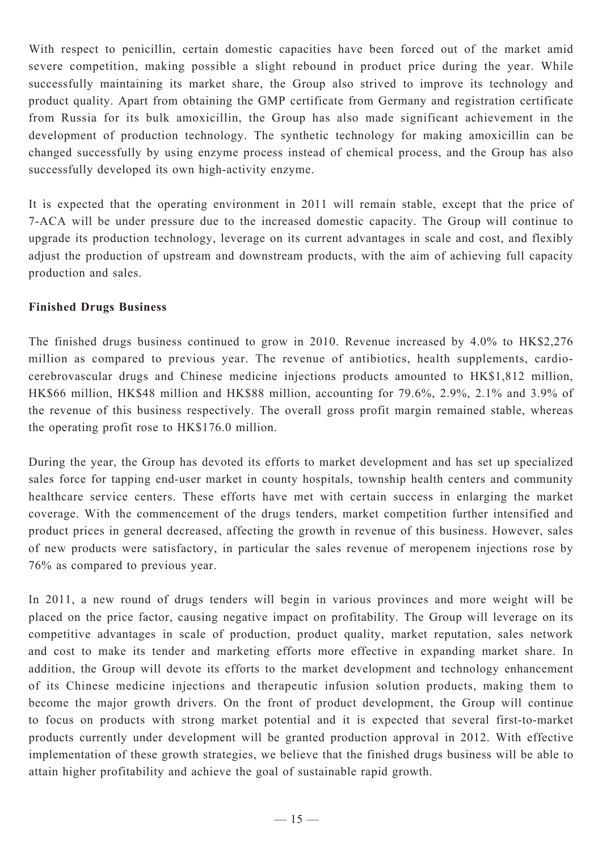With respect to penicillin, certain domestic capacities have been forced out of the market amid severe competition, making possible a slight rebound in product price during the year. While successfully maintaining its market share, the Group also strived to improve its technology and product quality. Apart from obtaining the GMP certificate from Germany and registration certificate from Russia for its bulk amoxicillin, the Group has also made significant achievement in the development of production technology. The synthetic technology for making amoxicillin can be changed successfully by using enzyme process instead of chemical process, and the Group has also successfully developed its own high-activity enzyme.

It is expected that the operating environment in 2011 will remain stable, except that the price of 7-ACA will be under pressure due to the increased domestic capacity. The Group will continue to upgrade its production technology, leverage on its current advantages in scale and cost, and flexibly adjust the production of upstream and downstream products, with the aim of achieving full capacity production and sales.

### **Finished Drugs Business**

The finished drugs business continued to grow in 2010. Revenue increased by 4.0% to HK\$2,276 million as compared to previous year. The revenue of antibiotics, health supplements, cardiocerebrovascular drugs and Chinese medicine injections products amounted to HK\$1,812 million, HK\$66 million, HK\$48 million and HK\$88 million, accounting for 79.6%, 2.9%, 2.1% and 3.9% of the revenue of this business respectively. The overall gross profit margin remained stable, whereas the operating profit rose to HK\$176.0 million.

During the year, the Group has devoted its efforts to market development and has set up specialized sales force for tapping end-user market in county hospitals, township health centers and community healthcare service centers. These efforts have met with certain success in enlarging the market coverage. With the commencement of the drugs tenders, market competition further intensified and product prices in general decreased, affecting the growth in revenue of this business. However, sales of new products were satisfactory, in particular the sales revenue of meropenem injections rose by 76% as compared to previous year.

In 2011, a new round of drugs tenders will begin in various provinces and more weight will be placed on the price factor, causing negative impact on profitability. The Group will leverage on its competitive advantages in scale of production, product quality, market reputation, sales network and cost to make its tender and marketing efforts more effective in expanding market share. In addition, the Group will devote its efforts to the market development and technology enhancement of its Chinese medicine injections and therapeutic infusion solution products, making them to become the major growth drivers. On the front of product development, the Group will continue to focus on products with strong market potential and it is expected that several first-to-market products currently under development will be granted production approval in 2012. With effective implementation of these growth strategies, we believe that the finished drugs business will be able to attain higher profitability and achieve the goal of sustainable rapid growth.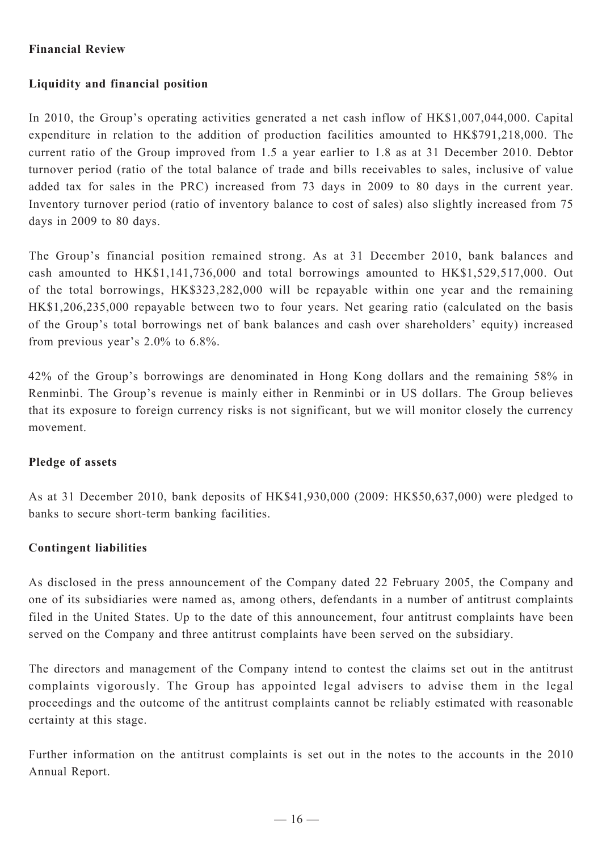# **Financial Review**

# **Liquidity and financial position**

In 2010, the Group's operating activities generated a net cash inflow of HK\$1,007,044,000. Capital expenditure in relation to the addition of production facilities amounted to HK\$791,218,000. The current ratio of the Group improved from 1.5 a year earlier to 1.8 as at 31 December 2010. Debtor turnover period (ratio of the total balance of trade and bills receivables to sales, inclusive of value added tax for sales in the PRC) increased from 73 days in 2009 to 80 days in the current year. Inventory turnover period (ratio of inventory balance to cost of sales) also slightly increased from 75 days in 2009 to 80 days.

The Group's financial position remained strong. As at 31 December 2010, bank balances and cash amounted to HK\$1,141,736,000 and total borrowings amounted to HK\$1,529,517,000. Out of the total borrowings, HK\$323,282,000 will be repayable within one year and the remaining HK\$1,206,235,000 repayable between two to four years. Net gearing ratio (calculated on the basis of the Group's total borrowings net of bank balances and cash over shareholders' equity) increased from previous year's 2.0% to 6.8%.

42% of the Group's borrowings are denominated in Hong Kong dollars and the remaining 58% in Renminbi. The Group's revenue is mainly either in Renminbi or in US dollars. The Group believes that its exposure to foreign currency risks is not significant, but we will monitor closely the currency movement.

# **Pledge of assets**

As at 31 December 2010, bank deposits of HK\$41,930,000 (2009: HK\$50,637,000) were pledged to banks to secure short-term banking facilities.

# **Contingent liabilities**

As disclosed in the press announcement of the Company dated 22 February 2005, the Company and one of its subsidiaries were named as, among others, defendants in a number of antitrust complaints filed in the United States. Up to the date of this announcement, four antitrust complaints have been served on the Company and three antitrust complaints have been served on the subsidiary.

The directors and management of the Company intend to contest the claims set out in the antitrust complaints vigorously. The Group has appointed legal advisers to advise them in the legal proceedings and the outcome of the antitrust complaints cannot be reliably estimated with reasonable certainty at this stage.

Further information on the antitrust complaints is set out in the notes to the accounts in the 2010 Annual Report.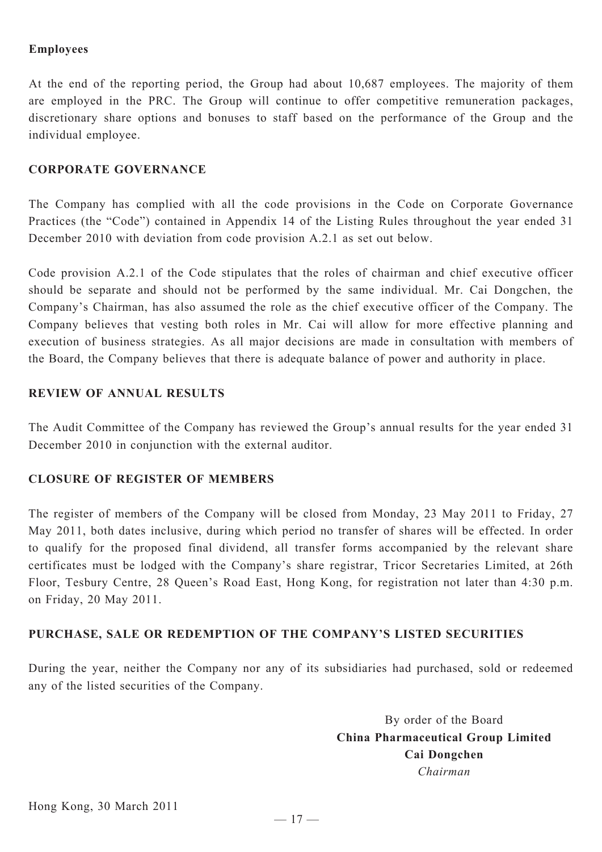## **Employees**

At the end of the reporting period, the Group had about 10,687 employees. The majority of them are employed in the PRC. The Group will continue to offer competitive remuneration packages, discretionary share options and bonuses to staff based on the performance of the Group and the individual employee.

#### **CORPORATE GOVERNANCE**

The Company has complied with all the code provisions in the Code on Corporate Governance Practices (the "Code") contained in Appendix 14 of the Listing Rules throughout the year ended 31 December 2010 with deviation from code provision A.2.1 as set out below.

Code provision A.2.1 of the Code stipulates that the roles of chairman and chief executive officer should be separate and should not be performed by the same individual. Mr. Cai Dongchen, the Company's Chairman, has also assumed the role as the chief executive officer of the Company. The Company believes that vesting both roles in Mr. Cai will allow for more effective planning and execution of business strategies. As all major decisions are made in consultation with members of the Board, the Company believes that there is adequate balance of power and authority in place.

# **REVIEW OF ANNUAL RESULTS**

The Audit Committee of the Company has reviewed the Group's annual results for the year ended 31 December 2010 in conjunction with the external auditor.

#### **CLOSURE OF REGISTER OF MEMBERS**

The register of members of the Company will be closed from Monday, 23 May 2011 to Friday, 27 May 2011, both dates inclusive, during which period no transfer of shares will be effected. In order to qualify for the proposed final dividend, all transfer forms accompanied by the relevant share certificates must be lodged with the Company's share registrar, Tricor Secretaries Limited, at 26th Floor, Tesbury Centre, 28 Queen's Road East, Hong Kong, for registration not later than 4:30 p.m. on Friday, 20 May 2011.

#### **PURCHASE, SALE OR REDEMPTION OF THE COMPANY'S LISTED SECURITIES**

During the year, neither the Company nor any of its subsidiaries had purchased, sold or redeemed any of the listed securities of the Company.

> By order of the Board **China Pharmaceutical Group Limited Cai Dongchen** *Chairman*